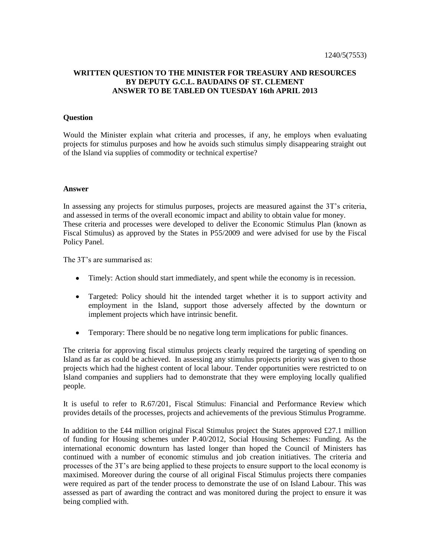## **WRITTEN QUESTION TO THE MINISTER FOR TREASURY AND RESOURCES BY DEPUTY G.C.L. BAUDAINS OF ST. CLEMENT ANSWER TO BE TABLED ON TUESDAY 16th APRIL 2013**

## **Question**

Would the Minister explain what criteria and processes, if any, he employs when evaluating projects for stimulus purposes and how he avoids such stimulus simply disappearing straight out of the Island via supplies of commodity or technical expertise?

## **Answer**

In assessing any projects for stimulus purposes, projects are measured against the 3T's criteria, and assessed in terms of the overall economic impact and ability to obtain value for money. These criteria and processes were developed to deliver the Economic Stimulus Plan (known as Fiscal Stimulus) as approved by the States in P55/2009 and were advised for use by the Fiscal Policy Panel.

The 3T's are summarised as:

- Timely: Action should start immediately, and spent while the economy is in recession.
- Targeted: Policy should hit the intended target whether it is to support activity and employment in the Island, support those adversely affected by the downturn or implement projects which have intrinsic benefit.
- $\bullet$ Temporary: There should be no negative long term implications for public finances.

The criteria for approving fiscal stimulus projects clearly required the targeting of spending on Island as far as could be achieved. In assessing any stimulus projects priority was given to those projects which had the highest content of local labour. Tender opportunities were restricted to on Island companies and suppliers had to demonstrate that they were employing locally qualified people.

It is useful to refer to R.67/201, Fiscal Stimulus: Financial and Performance Review which provides details of the processes, projects and achievements of the previous Stimulus Programme.

In addition to the £44 million original Fiscal Stimulus project the States approved £27.1 million of funding for Housing schemes under P.40/2012, Social Housing Schemes: Funding. As the international economic downturn has lasted longer than hoped the Council of Ministers has continued with a number of economic stimulus and job creation initiatives. The criteria and processes of the 3T's are being applied to these projects to ensure support to the local economy is maximised. Moreover during the course of all original Fiscal Stimulus projects there companies were required as part of the tender process to demonstrate the use of on Island Labour. This was assessed as part of awarding the contract and was monitored during the project to ensure it was being complied with.